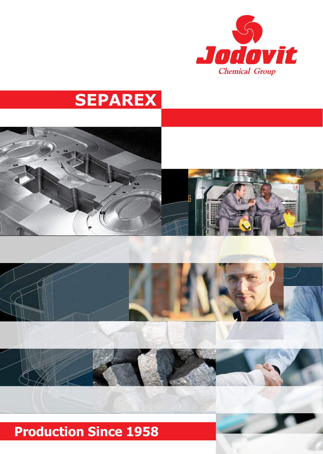

# **SEPAREX**



## **Production Since 1958**